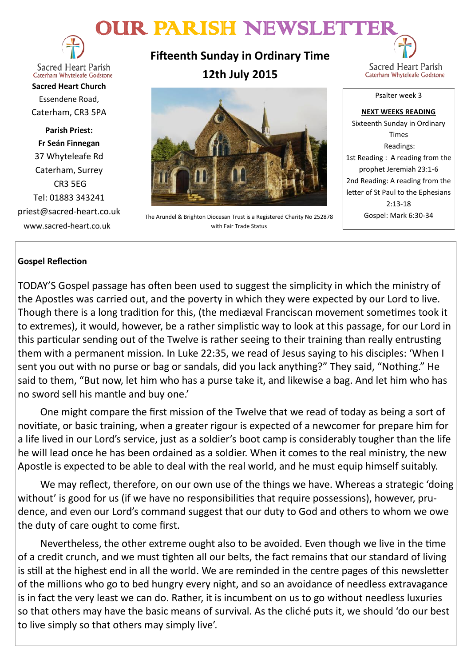# OUR PARISH NEWSLETT



**Sacred Heart Parish** Caterham Whyteleafe Godstone

**Sacred Heart Church** Essendene Road, Caterham, CR3 5PA

**Parish Priest: Fr Seán Finnegan** 37 Whyteleafe Rd Caterham, Surrey CR3 5EG Tel: 01883 343241 priest@sacred-heart.co.uk www.sacred-heart.co.uk

**Fifteenth Sunday in Ordinary Time 12th July 2015**



The Arundel & Brighton Diocesan Trust is a Registered Charity No 252878 with Fair Trade Status

Sacred Heart Parish Caterham Whyteleafe Godstone

Psalter week 3

**NEXT WEEKS READING** Sixteenth Sunday in Ordinary Times Readings: 1st Reading : A reading from the prophet Jeremiah 23:1-6 2nd Reading: A reading from the letter of St Paul to the Ephesians 2:13-18 Gospel: Mark 6:30-34

# **Gospel Reflection**

TODAY'S Gospel passage has often been used to suggest the simplicity in which the ministry of the Apostles was carried out, and the poverty in which they were expected by our Lord to live. Though there is a long tradition for this, (the mediæval Franciscan movement sometimes took it to extremes), it would, however, be a rather simplistic way to look at this passage, for our Lord in this particular sending out of the Twelve is rather seeing to their training than really entrusting them with a permanent mission. In Luke 22:35, we read of Jesus saying to his disciples: 'When I sent you out with no purse or bag or sandals, did you lack anything?" They said, "Nothing." He said to them, "But now, let him who has a purse take it, and likewise a bag. And let him who has no sword sell his mantle and buy one.'

One might compare the first mission of the Twelve that we read of today as being a sort of novitiate, or basic training, when a greater rigour is expected of a newcomer for prepare him for a life lived in our Lord's service, just as a soldier's boot camp is considerably tougher than the life he will lead once he has been ordained as a soldier. When it comes to the real ministry, the new Apostle is expected to be able to deal with the real world, and he must equip himself suitably.

We may reflect, therefore, on our own use of the things we have. Whereas a strategic 'doing without' is good for us (if we have no responsibilities that require possessions), however, prudence, and even our Lord's command suggest that our duty to God and others to whom we owe the duty of care ought to come first.

Nevertheless, the other extreme ought also to be avoided. Even though we live in the time of a credit crunch, and we must tighten all our belts, the fact remains that our standard of living is still at the highest end in all the world. We are reminded in the centre pages of this newsletter of the millions who go to bed hungry every night, and so an avoidance of needless extravagance is in fact the very least we can do. Rather, it is incumbent on us to go without needless luxuries so that others may have the basic means of survival. As the cliché puts it, we should 'do our best to live simply so that others may simply live'.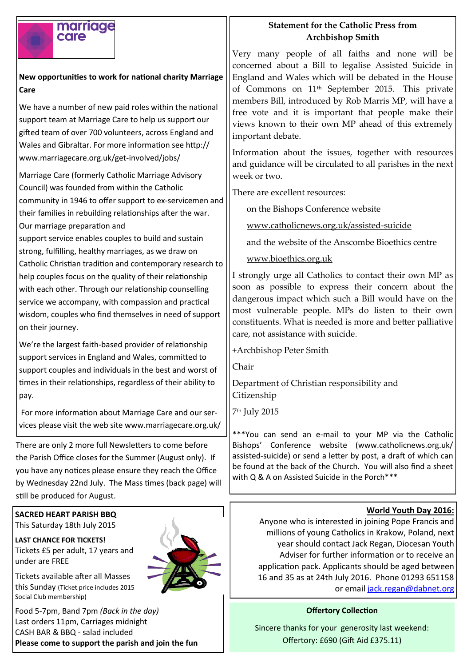## **Statement for the Catholic Press from Archbishop Smith**



# **New opportunities to work for national charity Marriage Care**

We have a number of new paid roles within the national support team at Marriage Care to help us support our gifted team of over 700 volunteers, across England and Wales and Gibraltar. For more information see http:// www.marriagecare.org.uk/get-involved/jobs/

Marriage Care (formerly Catholic Marriage Advisory Council) was founded from within the Catholic community in 1946 to offer support to ex-servicemen and their families in rebuilding relationships after the war. Our marriage preparation and

support service enables couples to build and sustain strong, fulfilling, healthy marriages, as we draw on Catholic Christian tradition and contemporary research to help couples focus on the quality of their relationship with each other. Through our relationship counselling service we accompany, with compassion and practical wisdom, couples who find themselves in need of support on their journey.

We're the largest faith-based provider of relationship support services in England and Wales, committed to support couples and individuals in the best and worst of times in their relationships, regardless of their ability to pay.

For more information about Marriage Care and our services please visit the web site www.marriagecare.org.uk/

There are only 2 more full Newsletters to come before the Parish Office closes for the Summer (August only). If you have any notices please ensure they reach the Office by Wednesday 22nd July. The Mass times (back page) will still be produced for August.

#### **SACRED HEART PARISH BBQ** This Saturday 18th July 2015

**LAST CHANCE FOR TICKETS!** Tickets £5 per adult, 17 years and under are FREE

Tickets available after all Masses this Sunday (Ticket price includes 2015 Social Club membership)

Food 5-7pm, Band 7pm *(Back in the day)* Last orders 11pm, Carriages midnight CASH BAR & BBQ - salad included **Please come to support the parish and join the fun**

Very many people of all faiths and none will be concerned about a Bill to legalise Assisted Suicide in England and Wales which will be debated in the House of Commons on 11th September 2015. This private members Bill, introduced by Rob Marris MP, will have a free vote and it is important that people make their views known to their own MP ahead of this extremely important debate.

Information about the issues, together with resources and guidance will be circulated to all parishes in the next week or two.

There are excellent resources:

on the Bishops Conference website

[www.catholicnews.org.uk/assisted](http://www.catholicnews.org.uk/assisted-suicide)-suicide

and the website of the Anscombe Bioethics centre

[www.bioethics.org.uk](http://www.bioethics.org.uk)

I strongly urge all Catholics to contact their own MP as soon as possible to express their concern about the dangerous impact which such a Bill would have on the most vulnerable people. MPs do listen to their own constituents. What is needed is more and better palliative care, not assistance with suicide.

+Archbishop Peter Smith

Chair

Department of Christian responsibility and Citizenship

7 th July 2015

\*\*\*You can send an e-mail to your MP via the Catholic Bishops' Conference website (www.catholicnews.org.uk/ assisted-suicide) or send a letter by post, a draft of which can be found at the back of the Church. You will also find a sheet with Q & A on Assisted Suicide in the Porch\*\*\*

## **World Youth Day 2016:**

Anyone who is interested in joining Pope Francis and millions of young Catholics in Krakow, Poland, next year should contact Jack Regan, Diocesan Youth Adviser for further information or to receive an application pack. Applicants should be aged between 16 and 35 as at 24th July 2016. Phone 01293 651158 or email [jack.regan@dabnet.org](mailto:jack.regan@dabnet.org)

## **Offertory Collection**

Sincere thanks for your generosity last weekend: Offertory: £690 (Gift Aid £375.11)

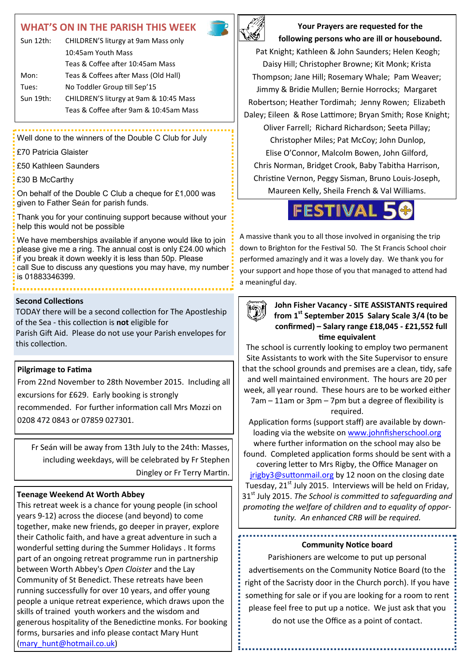## **WHAT'S ON IN THE PARISH THIS WEEK**

| Sun 12th: | CHILDREN'S liturgy at 9am Mass only<br>10:45am Youth Mass |  |
|-----------|-----------------------------------------------------------|--|
|           |                                                           |  |
|           | Teas & Coffee after 10:45am Mass                          |  |
| Mon:      | Teas & Coffees after Mass (Old Hall)                      |  |
| Tues:     | No Toddler Group till Sep'15                              |  |
| Sun 19th: | CHILDREN'S liturgy at 9am & 10:45 Mass                    |  |
|           | Teas & Coffee after 9am & 10:45am Mass                    |  |
|           |                                                           |  |

Well done to the winners of the Double C Club for July

- £70 Patricia Glaister
- £50 Kathleen Saunders
- £30 B McCarthy

On behalf of the Double C Club a cheque for £1,000 was given to Father Seán for parish funds.

Thank you for your continuing support because without your help this would not be possible

We have memberships available if anyone would like to join please give me a ring. The annual cost is only £24.00 which if you break it down weekly it is less than 50p. Please call Sue to discuss any questions you may have, my number is 01883346399.

#### **Second Collections**

TODAY there will be a second collection for The Apostleship of the Sea - this collection is **not** eligible for

Parish Gift Aid. Please do not use your Parish envelopes for this collection.

#### **Pilgrimage to Fatima**

From 22nd November to 28th November 2015. Including all excursions for £629. Early booking is strongly

recommended. For further information call Mrs Mozzi on 0208 472 0843 or 07859 027301.

Fr Seán will be away from 13th July to the 24th: Masses, including weekdays, will be celebrated by Fr Stephen Dingley or Fr Terry Martin.

#### **Teenage Weekend At Worth Abbey**

This retreat week is a chance for young people (in school years 9-12) across the diocese (and beyond) to come together, make new friends, go deeper in prayer, explore their Catholic faith, and have a great adventure in such a wonderful setting during the Summer Holidays . It forms part of an ongoing retreat programme run in partnership between Worth Abbey's *Open Cloister* and the Lay Community of St Benedict. These retreats have been running successfully for over 10 years, and offer young people a unique retreat experience, which draws upon the skills of trained youth workers and the wisdom and generous hospitality of the Benedictine monks. For booking forms, bursaries and info please contact Mary Hunt ([mary\\_hunt@hotmail.co.uk\)](mailto:mary_hunt@hotmail.co.uk)



**Your Prayers are requested for the following persons who are ill or housebound.** 

Pat Knight; Kathleen & John Saunders; Helen Keogh; Daisy Hill; Christopher Browne; Kit Monk; Krista Thompson; Jane Hill; Rosemary Whale; Pam Weaver; Jimmy & Bridie Mullen; Bernie Horrocks; Margaret Robertson; Heather Tordimah; Jenny Rowen; Elizabeth Daley; Eileen & Rose Lattimore; Bryan Smith; Rose Knight; Oliver Farrell; Richard Richardson; Seeta Pillay; Christopher Miles; Pat McCoy; John Dunlop, Elise O'Connor, Malcolm Bowen, John Gilford, Chris Norman, Bridget Crook, Baby Tabitha Harrison, Christine Vernon, Peggy Sisman, Bruno Louis-Joseph, Maureen Kelly, Sheila French & Val Williams.

**FESTIVAL 50** 

A massive thank you to all those involved in organising the trip down to Brighton for the Festival 50. The St Francis School choir performed amazingly and it was a lovely day. We thank you for your support and hope those of you that managed to attend had a meaningful day.



#### **John Fisher Vacancy - SITE ASSISTANTS required from 1st September 2015 Salary Scale 3/4 (to be confirmed) – Salary range £18,045 - £21,552 full time equivalent**

The school is currently looking to employ two permanent Site Assistants to work with the Site Supervisor to ensure that the school grounds and premises are a clean, tidy, safe and well maintained environment. The hours are 20 per week, all year round. These hours are to be worked either 7am – 11am or 3pm – 7pm but a degree of flexibility is required.

Application forms (support staff) are available by downloading via the website on [www.johnfisherschool.org](http://www.johnfisherschool.org) where further information on the school may also be found. Completed application forms should be sent with a covering letter to Mrs Rigby, the Office Manager on  $irigby3@suttonmail.org by 12 noon on the closing date$ Tuesday,  $21^{st}$  July 2015. Interviews will be held on Friday, 31<sup>st</sup> July 2015. *The School is committed to safeguarding and promoting the welfare of children and to equality of opportunity. An enhanced CRB will be required.*

## **Community Notice board**

Parishioners are welcome to put up personal advertisements on the Community Notice Board (to the right of the Sacristy door in the Church porch). If you have something for sale or if you are looking for a room to rent please feel free to put up a notice. We just ask that you do not use the Office as a point of contact.